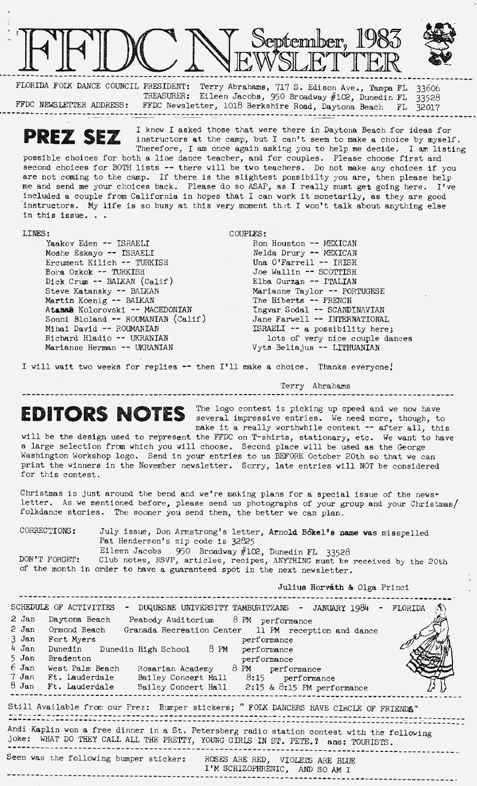

TREASURER: Eileen Jacobs, 950 Broadway #102, Dunedin FL 33528 FFDC NEWSLETTER ADDRESS: FFDC Newsletter, 1018 Berkshire Road, Daytona Beach FL 32017 ·----------------------------------------------------------------------------------------------------- - --- -- -

**PREZ SEZ** I know I asked those that were there in Daytona Beach for ideas for instructors at the camp, but I can't seem to make a choice by myself.

Therefore, I am once again asking you to help me decide. I am listing possible choices for both a line dance teacher, and for couples. Please choose first and second choices for BOTH lists -- there will be two teachers. Do not make any choices if you are not coming to the camp. If there is the slightest possibilty you are, then please help me and send me your choices back. Please do so ASAP, as I really must get going here. I've included a couple from California in hopes that I can work it'monetarily, as they are good 'instructors. My life is so busy at this very moment th-:t I won't talk about anything else in this issue .•.

## LINES:

Yaakov Eden -- ISRAELI Moshe Eskayo -- ISRAELI Ercument Kilich -- TURKISH Bora Ozkok -- TURKISH Dick Crum -- BALKAN (Calif) Steve Katansky -- BAIKAN Martin Koenig -- BAIKAN Atanas Kolorovski -- MACEDONIAN Sonni Bloland -- ROUMANIAN (Calif) Mihai David -- ROUMANIAN Richard Hladio -- UKRANIAN Marianne Herman -- UKRANIAN

COUPLES: Ron Houston -- MEXICAN Nelda Drury -- MEXICAN Una O'Farrell -- IRISH Joe Wallin -- SCOTTISH Elba Gurzan -- ITALIAN Marianne Taylor -- PORTUGESE The Hiberts -- FRENCH Ingvar Sodal -- SCANDINAVIAN Jane Farwell -- INTERNATIONAL ISRAELI -- a possibility here; lots of very nice couple dances

Vyts 3eliajus -- LITHUANIAN

I will wait two weeks for replies -- then I'll make a choice. Thanks everyone!

Terry Abrahams

## **EDITORS NOTES**

The logo contest is picking up speed and we now have several impressive entries. We need more, though, to make it a really worthwhile contest -- after all, this

--------------------

will be the design used to represent the FFDC on T-shirts, stationary, etc. We want to have a large selection from which you will choose. Second place will be used as the George Washington Workshop logo. Send in your entries to us BEFORE October 20th so that **we** can print the winners in the November newsletter. Sorry, late entries will NOT be considered for this contest.

Christmas is just around the bend and we're making plans for a special issue of the newsletter. As we mentioned before, please send us photographs of your group and your Christmas/ folkdance stories. The sooner you send them, the better we can plan.

CORRECTIONS: July issue , Don Armstrong's letter, Arnold Bo'kel's **name was** misspelled Pat Henderson's zip code is 32825 Eileen Jacobs 950 Broadway  $#102$ , Dunedin FL 33528

DON'T FORGET: Club notes, RSVP, articles, recipes, ANYTHING must be received by the 20th of the month in order to have a guaranteed spot in the next newsletter.

Julius **Horvath** & Olga Princi

| SCHEDULE OF ACTIVITIES<br>- DUQUESNE UNIVERSITY TAMBURITZANS - JANUARY 1984 - FLORIDA                                                                                           |  |  |
|---------------------------------------------------------------------------------------------------------------------------------------------------------------------------------|--|--|
| 2 Jan<br>Daytona Beach<br>Peabody Auditorium 8 PM performance                                                                                                                   |  |  |
| 2 Jan<br>Ormond Beach<br>Granada Recreation Center 11 PM reception and dance                                                                                                    |  |  |
| $3$ Jan<br>Fort Myers<br>performance                                                                                                                                            |  |  |
| $4$ Jan<br>Dunedin Dunedin High School 8 PM<br>performance                                                                                                                      |  |  |
| 5 Jan<br><b>Bradenton</b><br>performance                                                                                                                                        |  |  |
| 6 Jan<br>West Palm Beach<br>Rosarian Academy $\partial$ PM performance                                                                                                          |  |  |
| 7 Jan Ft. Lauderdale<br>Bailey Concert Hall $8:15$ performance                                                                                                                  |  |  |
| $8$ Jan Ft. Lauderdale Bailey Concert Hall 2:15 & 8:15 PM performance                                                                                                           |  |  |
| Still Available from our Prez: Bumper stickers; " FOLK DANCERS HAVE CIRCLE OF FRIENDS"                                                                                          |  |  |
| Andi Kaplin won a free dinner in a St. Petersberg radio station contest with the following<br>joke: WHAT DO THEY CALL ALL THE PRETTY, YOUNG GIRLS IN ST. PETE. ? ans: TOURISTS. |  |  |
|                                                                                                                                                                                 |  |  |
| Seen was the following bumper sticker:<br>ROSES ARE RED, VIOLETS ARE BLUE<br>I'M SCHIZOPHRENIC, AND SO AM I                                                                     |  |  |
|                                                                                                                                                                                 |  |  |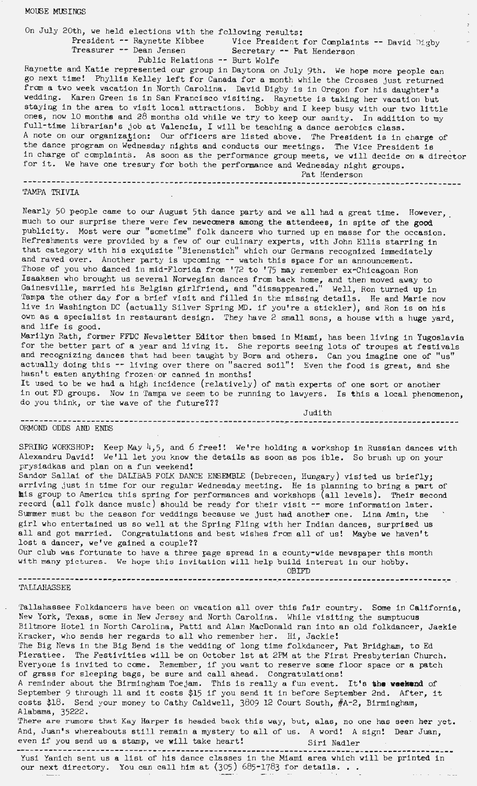## **MOUSE MUSINGS**

On July 20th, we held elections with the following results:

Treasurer -- Dean Jensen

Vice President for Complaints -- David Digby<br>Secretary -- Pat Henderson Public Relations -- Burt Wolfe

Raynette and Katie represented our group in Daytona on July 9th. We hope more people can go next time! Phyllis Kelley left for Canada for a month while the Crosses Just returned from a two week vacation in North Carolina. David Digby is in Oregon for his daughter's wedding. Karen Green is in San Francisco visiting. Raynette is taking her vacation but staying in the area to visit local attractions. Bobby and I keep busy with our two little ones, now 10 months and 28 months old while we try to keep our sanity. In addition to my full-time librarian's job at Valencia, I will be teaching a dance aerobics class. A note on our organization: Our officers are listed above. The President is in charge of the dance program on Wednesday nights and conducts our meetings. The Vice President is in charge of complaints. As soon as the performance group meets, we will decide on **a** director for it. We have one tresury for both the performance and Wednesday night groups. Pat Henderson

--------------------------------------------------------------------------------------------- TA.\1:PA TRIVIA

Nearly 50 people came to our August 5th dance party and we all had a great time. However, much to our surprise there were few neweomers among the attendees, in spite of the **good**  publicity. Most were our "sometime" folk dancers who turned up en masse for the occasion. Refreshments were provided by a few of our culinary experts, with John Ellis starring in that category with his exquisite "Bienenstich" which our Germans recognized immediately and raved over. Another party is upcoming -- watch this space for an announcement. Those of you who danced in mid-Florida from '72 to '75 may remember ex-Chicagoan Ron Isaaksen who brought us several Norwegian dances from back home, and then moved away to Gainesville, married his Belgian girlfriend, and "dissappeared." Well, Ron turned up in Tampa the other day for a brief visit and filled in the missing details. He and Marie now live in Washington DC (actually Silver Spring MD. if you're a stickler), and Ron is on his own as a specialist in restaurant design. They have 2 small sons, a house with a huge yard, and life is good.

Marilyn Rath, former FFDC Newsletter Editor then based in Miami, has been living in Yugoslavia for the better part of a year and living it. She reports seeing and recognizing dances that had been taught by Bora and others. actually doing this -- living over there on "sacred soil"! Even the food is great, and she hasn't eaten anything frozen or canned in months! lots of troupes at festivals Can you imagine one of "us"

It used to be we had a high incidence (relatively) of math experts of one sort or another in out FD groups. Now in Tampa we seem to be running to lawyers. Is this a local phenomenon, do you think, or the wave of the future???

Judith

----------------------------------------------------- -------------------------------------- ORMOND ODDS AND ENDS

SPRING WORKSHOP: Keep May  $4,5$ , and 6 free!! We're holding a workshop in Russian dances with Alexandru David! We'll let you know the details as soon as pos ible. So brush up on your prysiadkas and plan on a fun weekend!

Sandor Sallai of the DALIBAB FOLK DANCE ENSEMBLE (Debrecen, Hungary) visited us briefly; arriving just in time for our regular Wednesday meeting. He is planning to bring a part of **mis** group to America this spring for performances and workshops (all levels). Their second record (all folk dance music) should be ready for their visit -- more information later. Summer must be the season for weddings because we just had another one. Lina Amin, the girl who entertained us so well at the Spring Fling with her Indian dances, surprised us all and got married. Congratulations and best wishes from all of us! Maybe we haven't lost a dancer, we've gained a couple??

Our club was fortunate to have a three page spread in a county-wide newspaper this month with many pictures. We hope this invitation will help build interest in our hobby. OBIFD

--------------------------------- . . -------------------~ ---- ----------------------------- <sup>~</sup>TALLAHASSEE

Tallahassee Folkdancers have been on vacation all over this fair country. Some in California, New York, Texas, some in New Jersey and North Carolina. While visiting the sumptuous Biltmore Hotel in North Carolina, Patti and Alan MacDonald ran into an old folkdancer, Jaekie Kracker, who sends her regards to all who remember her. Hi, Jackie! The Big News in the Big Bend is the wedding of long time folkdancer, Pat Bridgham, to Ed Pierattee. The Festivities will be on October 1st at 2PM at the First Presbyterian Church. Everyone is invited to come. Remember, if you want to reserve some floor space or a patch of grass for sleeping bags, be sure and call ahead. Congratulations! A reminder about the Birmingham Toejam. This is really a fun event. It's **ihe weekend** of September 9 through 11 and it costs \$15 if you send it in before September 2nd. After, it costs \$18. Send your money to Cathy Caldwell, 3809 12 Court South, #A-2, Birmingham, Alabama, 35222. There are rumors that Kay Harper is headed back this way, but, alas, no one has seen her yet. And, Juan's whereabouts still remain a mystery to all of us. A word! A sign! Dear Juan, even if you send us a stamp, we will take heart! Siri Nadler

Yusi Yanich sent us a list of his dance classes in the Miami area which will be printed in our next directory. You can call him at  $(305)$  685-1783 for details...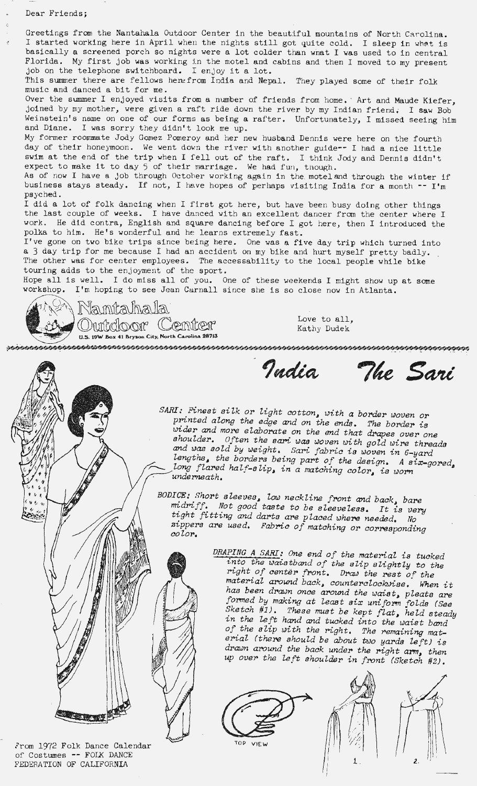Greetings from the Nantahala Outdoor Center in the beautiful mountains of North Carolina. I started working here in April when the nights still got quite cold. I sleep in what is basically a screened porch so nights were a lot colder than wnat I was used to in central Florida. My first job was working in the motel and cabins and then I moved to my present job on the telephone switchboard. I enjoy it a lot.

This summer there are fellows hene from India and Nepal. They played some of their folk music and danced a bit for me.

Over the summer I enjoyed visits from a number of friends from home. Art and Maude Kiefer, joined by my mother, were given a raft ride down the river by my Indian friend. I **saw** Bob Weinstein's name on one of our forms as being a rafter. Unfortunately, I missed seeing him and Diane. I was sorry they didn't look me up.

My former roommate Jody Gomez Pomeroy and her new husband Dennis were here on the fourth day of their honeymoon. We went down the river with another guide-- I had a nice little swim at the end of the trip when I fell out of the raft. I think Jody and swim at the end of the trip when I fell out of the raft. I think Jody and Dennis didn't expect to make it to day 5 of their marriage. We had fun, though.

As of now I have a job through October working again in the motel and through the winter if business stays steady. If not, I have hopes of perhaps visiting India for a month  $-$  I'm psyched.

I did a lot of folk dancing when I first got here, but have been busy doing other things the last couple of weeks. I have danced with an excellent dancer from the center where <sup>I</sup> work. He did contra, English and square dancing before I got here, then I introduced the polka to him. He's wonderful and he learns extremely fast.

I've gone on two bike trips since being here. One was a five day trip which turned into a 3 day trip for me because I had an accident on my bike and hurt myself pretty badly. The other was for center employees. The accessability to the local people while bike touring adds to the enjoyment of the sport.

Hope all is well. I do miss all of you. One of these weekends I might show up at some workshop. I'm hoping to see Jean Carnall since she is so close now in Atlanta.



Kathy Dudek

India The Sari

SARI: Finest silk or light cotton, with a border woven or printed along the edge and on the ends. The border is wider and more elaborate on the end that drapes over one shoulder. Often the sari was woven with gold wire threads and was sold by weight. Sari fabric is woven in 6-yard lengths, the borders being part of the design. A six-gored, long flared half-slip, in a matching color, is worn *under>neath.* 

*BODICE: Short sleeves, low neckline front and back bare*  midriff. Not good taste to be sleeveless. It is very *t:ght f1.-tting and darts are placed where needed. No*  zippers are used. Fabric of matching or corresponding color.

> *DRAPING A SARI: One end of the material is tucked*  into the waistband of the slip slightly to the *nght of center front. Drco..J the rest of' the material around back, counterclockwise. When it* has been drawn once around the waist, pleats are formed by making at least six uniform folds (See *~ketch #1). These must be kept f'lat, held steady*  in the left hand and tucked into the waist band of the slip with the right. The remaining mat*erial (there should be about two yards left) is*  drawn around the back under the right arm, then *up over the left shoulder in front (Sketch* #2).





 $\overline{\mathbf{z}}$ 

From 1972 Folk Dance Calendar of Costumes -- FOLK DANCE FEDERATION OF CALIFORNIA

**SILE ROOM OF STATE**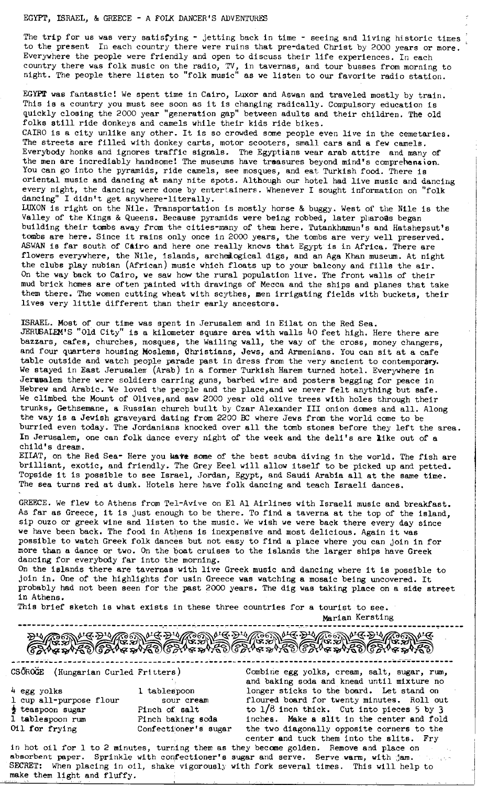## EGYPT, ISRAEL, & GREECE - A FOLK DANCER'S ADVENTURES

The trip for us was very satisfying  $\sim$  jetting back in time  $\sim$  seeing and living historic times to the present In each country there were ruins that pre-dated Christ by 2000 years or more. Everywhere the people were friendly and open to discuss their life experiences. In each country there was folk music on the radio, TV, in tavernas, and tour busses from morning to night. The people there listen to "folk music" as we listen to our favorite radio station.

**EGYPT was** fantastic! We spent time in Cairo, Luxor and Aswan and traveled mostly by train. This is a country you must see soon as it is changing radically. Compulsory education is quickly closing the 2000 year "generation gap" between adults and their children. The old folks still ride donkeys and camels while their kids ride bikes.

CAIRO is a city unlike any other. It is so crowded some people even live in the cemetaries. The streets are filled with donkey carts, motor scooters, small cars and a few camels. Everybody honks and ignores traffic signals. The Egyptians wear arab attire and many of the men are incrediably handsome! The museums have treasures beyond mind's comprehengion. You can go into the pyramids, ride camels, see mosques, and eat Turkish food. There is oriental music and dancing at many nite spots. Although our hotel had live music and dancing every night, the dancing were done by entertainers. Whenever I sought information on "folk dancing" I didn't get anywhere-literally. I didn't get anywhere-literally.

LUXON is right on the Nile. Transportation is mostly horse & buggy. West of the Nile is the Valley of the Kings & Queens. Because pyramids were being robbed, later pliaroas began building their tombs away from the cities-many of them here. Tutankhamun's and Hatshepsut's tombs **are** here. Since it rains only once in 2000 years, the tombs are very well preserved. ASWAN is far south of **Ctiro** and here one really knows that Egypt is in Africa. There are flowers everywhere, the Nile, islands, archedogical digs, and an Aga Khan museum. At night the clubs play nubian (African) music which floats up to your balcony and fills the air. On the way back to Cairo, we saw how the rural population live. The front walls of their mud brick homes are often painted with drawings of Mecca and the ships and planes that take them there. The women cutting wheat with scythes, men irrigating fields with buckets, their lives very little different than their early ancestors.

ISRAEL. Most of our time was spent in Jerusalem and in Eilat on the Red Sea. JERUSALEM'S "Old City" is a kilometer square area with walls 40 feet high. Here there are bazzars, cafes, churches, mosques, the Wailing wall, the way of the cross, money changers, and four quarters housing Moslems, Christians, Jews, and Armenians. You can sit at a cafe table outside and watch people parade past in dress from the very ancient to contemporary. We stayed in East Jerusalem (Arab) in a former Turkish Harem turned hotel. Everywhere in **Jerusalem** there were soldiers earring guns, barbed wire and posters begging for peace in Hebrew and Arabic. 'We loved the people and the place, and we never felt anything but safe. We climbed the Mount of Olives,and saw 2000 year old olive trees with holes through their trunks, Gethsemane, a Russian church built by Czar Alexander III onion domes and all. Along the way is a Jewish graveyard dating from 2200 BC where Jews from the world come to be burried even today. The Jordanians knocked over all the tomb stones before they left the area. In Jerusalem, one can folk dance every night of the week and the deli's are like out of a child's dream.

EU.AT, on the Red Sea- Here you **wate** some of the best scuba diving in the world. The fish are brilliant, exotic, and friendly. The Grey Eeel will allow itself to be picked up and petted. Topside it is possible to see Israel, Jordan, Egypt, and Saudi Arabia all at the same time. The sea turns red at dusk. Hotels here have folk dancing and teach Israeli dances.

GREECE. We flew to Athens from Tel-Avive on El Al Airlines with Israeli music and breakfast. As far as Greece, it is just enough to be there. To find a taverna at the top of the island, sip ouzo or greek wine and listen to the music. We wish we were back there every day since we have been back. The food in Athens is inexpensive and most delicious. Again it was possible to watch Greek folk dances but not easy to find a place where you can join in for more than a dance or two. On the boat cruises to the islands the larger ships have Greek dancing for everybody far into the morning.

On the islands there are tavernas with live Greek music and dancing where it is possible to join in. One of the highlights for usin Greece was watching a mosaic being uncovered. It probably had not been seen for the past 2000 years. The dig was taking place oh a side street in Athens.

This brief sketch is what exists in these three countries for a tourist to see.

Marian Kersting ---·------------------------- ... . --.----··--. -- ' - . ------------.- ·•-- · ---------------. ------------.-----

end the state of the state of the state of the state of the state of the state of the state of the state of th<br>CSÖROGE (Hungarian Curled Fritters) Combine egg yolks, cream, salt, sugar, rum,

| $\mu$ egg yolks         | 1 tablespoon         |
|-------------------------|----------------------|
| 1 cup all-purpose flour | sour cream           |
| teaspoon sugar          | Pinch of salt        |
| 1 tablespoon rum        | Pinch baking soda    |
| Oil for frying          | Confectioner's sugar |

and baking soda and knead until mixture no longer sticks to the board. Let stand on floured board for twenty minutes. Roll out to  $1/8$  inch thick. Cut into pieces 5 by 3 inches. Make a slit in the center and fold the two diagonally opposite corners to the center and tuck them into the slits. Fry

in hot oil for 1 to 2 minutes, turning them as they become golden. Remove and place on absorbent paper. Sprinkle with confectioner's sugar and serve. Serve warm, with jam. SECRET: When placing in oil, shake vigorously with fork several times. This will help to make them light and fluffy.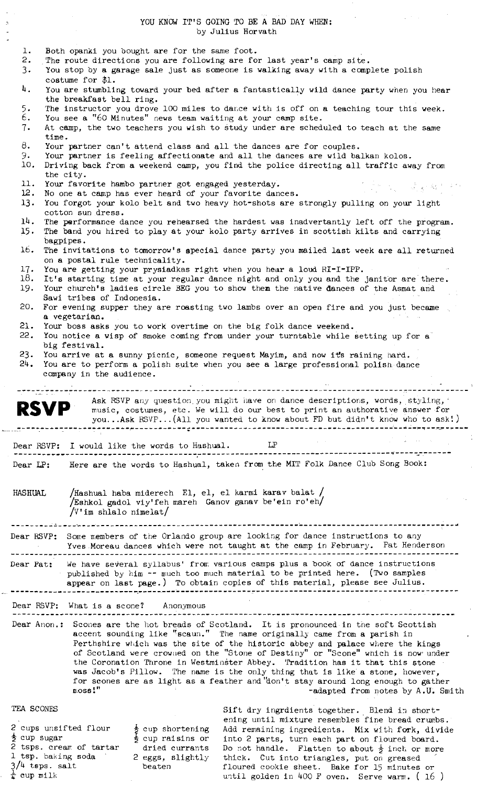YOU KNOW IT'S GOING TO BE A BAD DAY WHEN: by Julius Horvath

 $\label{eq:2} \frac{1}{2}\left(\frac{1}{2}\left(\frac{1}{2}\right)\right)^{2} \left(\frac{1}{2}\right)^{2} \left(\frac{1}{2}\right)^{2}$ 

 $\bar{\gamma}$ 

 $\frac{4}{\sqrt{3}}$ 

 $\frac{1}{4}$ 

 $\mathbb{Z}^2$ 

|                                                                                                                                                                                                                                                           | $0.411$ $0.01$ $0.01$                                                                                                                                                                                                                                                                                                                                                                                                                                                                                                                                                                                                                                |  |  |
|-----------------------------------------------------------------------------------------------------------------------------------------------------------------------------------------------------------------------------------------------------------|------------------------------------------------------------------------------------------------------------------------------------------------------------------------------------------------------------------------------------------------------------------------------------------------------------------------------------------------------------------------------------------------------------------------------------------------------------------------------------------------------------------------------------------------------------------------------------------------------------------------------------------------------|--|--|
| $\mathbf{1}$ .<br>2.<br>3.                                                                                                                                                                                                                                | Both opanki you bought are for the same foot.<br>The route directions you are following are for last year's camp site.<br>You stop by a garage sale just as someone is walking away with a complete polish                                                                                                                                                                                                                                                                                                                                                                                                                                           |  |  |
| 4.                                                                                                                                                                                                                                                        | costume for $$1.$<br>You are stumbling toward your bed after a fantastically wild dance party when you hear                                                                                                                                                                                                                                                                                                                                                                                                                                                                                                                                          |  |  |
| 5.                                                                                                                                                                                                                                                        | the breakfast bell ring.<br>The instructor you drove 100 miles to dance with is off on a teaching tour this week.                                                                                                                                                                                                                                                                                                                                                                                                                                                                                                                                    |  |  |
| 6.                                                                                                                                                                                                                                                        | You see a "60 Minutes" news team waiting at your camp site.                                                                                                                                                                                                                                                                                                                                                                                                                                                                                                                                                                                          |  |  |
| 7.                                                                                                                                                                                                                                                        | At camp, the two teachers you wish to study under are scheduled to teach at the same<br>time.                                                                                                                                                                                                                                                                                                                                                                                                                                                                                                                                                        |  |  |
| 8.<br>9.<br>10.                                                                                                                                                                                                                                           | Your partner can't attend class and all the dances are for couples.<br>Your partner is feeling affectionate and all the dances are wild balkan kolos.<br>Driving back from a weekend camp, you find the police directing all traffic away from                                                                                                                                                                                                                                                                                                                                                                                                       |  |  |
|                                                                                                                                                                                                                                                           | the city.                                                                                                                                                                                                                                                                                                                                                                                                                                                                                                                                                                                                                                            |  |  |
| 11.                                                                                                                                                                                                                                                       | Your favorite hambo partner got engaged yesterday.<br>不是想的 网络新教育科<br>12.<br>No one at camp has ever heard of your favorite dances.                                                                                                                                                                                                                                                                                                                                                                                                                                                                                                                   |  |  |
| 13.                                                                                                                                                                                                                                                       | You forgot your kolo belt and two heavy hot-shots are strongly pulling on your light<br>cotton sun dress.                                                                                                                                                                                                                                                                                                                                                                                                                                                                                                                                            |  |  |
| 14.<br>15.                                                                                                                                                                                                                                                | The performance dance you renearsed the hardest was inadvertantly left off the program.<br>The band you hired to play at your kolo party arrives in scottish kilts and carrying<br>bagpipes.                                                                                                                                                                                                                                                                                                                                                                                                                                                         |  |  |
| 16.                                                                                                                                                                                                                                                       | The invitations to tomorrow's special dance party you mailed last week are all returned<br>on a postal rule technicality.                                                                                                                                                                                                                                                                                                                                                                                                                                                                                                                            |  |  |
| 17.                                                                                                                                                                                                                                                       | You are getting your prysiadkas right when you hear a loud RI-I-IPP.<br>18. It's starting time at your regular dance night and only you and the janitor are there.                                                                                                                                                                                                                                                                                                                                                                                                                                                                                   |  |  |
| 19.<br>20.                                                                                                                                                                                                                                                | Your church's ladies circle BEG you to show them the native dances of the Asmat and<br>Sawi tribes of Indonesia.<br>For evening supper they are roasting two lambs over an open fire and you just became                                                                                                                                                                                                                                                                                                                                                                                                                                             |  |  |
|                                                                                                                                                                                                                                                           | a vegetarian.                                                                                                                                                                                                                                                                                                                                                                                                                                                                                                                                                                                                                                        |  |  |
| 21.<br>22.                                                                                                                                                                                                                                                | Your boss asks you to work overtime on the big folk dance weekend.<br>You notice a wisp of smoke coming from under your turntable while setting up for a                                                                                                                                                                                                                                                                                                                                                                                                                                                                                             |  |  |
|                                                                                                                                                                                                                                                           | big festival.<br>23. You arrive at a sunny picnic, someone request Mayim, and now it's raining hard.                                                                                                                                                                                                                                                                                                                                                                                                                                                                                                                                                 |  |  |
| 24.                                                                                                                                                                                                                                                       | You are to perform a polish suite when you see a large professional polish dance<br>company in the audience.                                                                                                                                                                                                                                                                                                                                                                                                                                                                                                                                         |  |  |
|                                                                                                                                                                                                                                                           |                                                                                                                                                                                                                                                                                                                                                                                                                                                                                                                                                                                                                                                      |  |  |
|                                                                                                                                                                                                                                                           | Ask RSVP any question you might have on dance descriptions, words, styling, '<br><b>RSVP</b><br>music, costumes, etc. We will do our best to print an authorative answer for<br>youAsk RSVP(All you wanted to know about FD but didn't know who to ask!)                                                                                                                                                                                                                                                                                                                                                                                             |  |  |
| Dear RSVP:                                                                                                                                                                                                                                                | LP<br>I would like the words to Hashual.                                                                                                                                                                                                                                                                                                                                                                                                                                                                                                                                                                                                             |  |  |
|                                                                                                                                                                                                                                                           |                                                                                                                                                                                                                                                                                                                                                                                                                                                                                                                                                                                                                                                      |  |  |
| Here are the words to Hashual, taken from the MIT Folk Dance Club Song Book:<br>Dear LP:                                                                                                                                                                  |                                                                                                                                                                                                                                                                                                                                                                                                                                                                                                                                                                                                                                                      |  |  |
| HASHUAL                                                                                                                                                                                                                                                   | /Hashual haba miderech El, el, el karmi karav balat /                                                                                                                                                                                                                                                                                                                                                                                                                                                                                                                                                                                                |  |  |
|                                                                                                                                                                                                                                                           | Eshkol gadol viy'feh mareh Ganov ganav be'ein ro'eh/<br>$/V$ 'im shlalo nimelat/                                                                                                                                                                                                                                                                                                                                                                                                                                                                                                                                                                     |  |  |
|                                                                                                                                                                                                                                                           |                                                                                                                                                                                                                                                                                                                                                                                                                                                                                                                                                                                                                                                      |  |  |
| Dear RSVP: Some members of the Orlando group are looking for dance instructions to any<br>Yves Moreau dances which were not taught at the camp in February. Pat Henderson                                                                                 |                                                                                                                                                                                                                                                                                                                                                                                                                                                                                                                                                                                                                                                      |  |  |
| We have several syllabus' from various camps plus a book of dance instructions<br>Dear Pat:<br>published by him -- much too much material to be printed here. (Two samples<br>appear on last page.) To obtain copies of this material, please see Julius. |                                                                                                                                                                                                                                                                                                                                                                                                                                                                                                                                                                                                                                                      |  |  |
| Dear RSVP:                                                                                                                                                                                                                                                | What is a scone? Anonymous                                                                                                                                                                                                                                                                                                                                                                                                                                                                                                                                                                                                                           |  |  |
|                                                                                                                                                                                                                                                           |                                                                                                                                                                                                                                                                                                                                                                                                                                                                                                                                                                                                                                                      |  |  |
|                                                                                                                                                                                                                                                           | Dear Anon.:<br>Scones are the hot breads of Scotland. It is pronounced in the soft Scottish<br>accent sounding like "scaun." The name originally came from a parish in<br>Perthshire which was the site of the historic abbey and palace where the kings<br>of Scotland were crowned on the "Stone of Destiny" or "Scone" which is now under<br>the Coronation Throne in Westminster Abbey. Tradition has it that this stone<br>was Jacob's Pillow. The name is the only thing that is like a stone, however,<br>for scones are as light as a feather and "don't stay around long enough to gather<br>$n$ oss!"<br>-adapted from notes by A.U. Smith |  |  |
| TEA SCONES                                                                                                                                                                                                                                                | Sift dry ingrdients together. Blend in short-                                                                                                                                                                                                                                                                                                                                                                                                                                                                                                                                                                                                        |  |  |
| <del>j</del> cup sugar                                                                                                                                                                                                                                    | ening until mixture resembles fine bread crumbs.<br>2 cups unsifted flour<br>$\frac{1}{2}$ cup shortening<br>Add remaining ingredients. Mix with fork, divide<br>ち cup raisins or<br>into 2 parts, turn each part on floured board.<br>2 tsps. cream of tartar<br>dried currants<br>Do not handle. Flatten to about $\frac{1}{2}$ inch or more<br>1 tsp. baking soda<br>2 eggs, slightly<br>thick. Cut into triangles, put on greased                                                                                                                                                                                                                |  |  |

 $\frac{3}{4}$  tsps. salt  $\frac{1}{4}$  cup milk beaten

thick. Cut into triangles, put on greased floured cookie sheet. **Bake** for 15 minutes or until golden in 400 F oven. Serve warm.  $(16)$